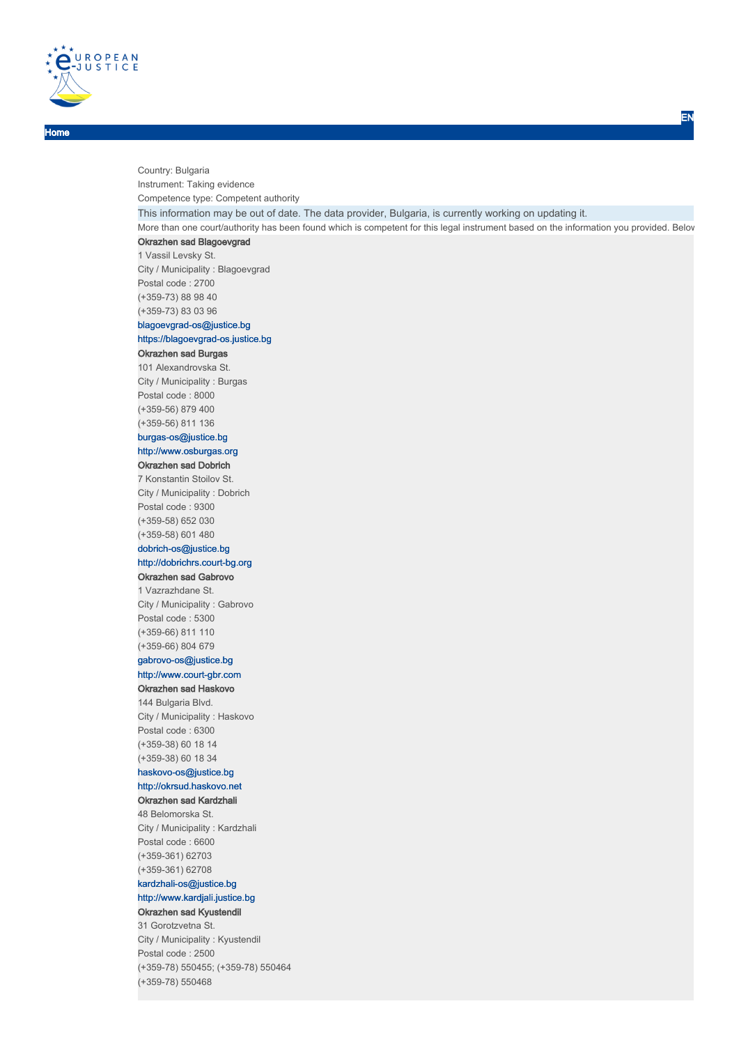

Home

Country: Bulgaria Instrument: Taking evidence Competence type: Competent authority This information may be out of date. The data provider, Bulgaria, is currently working on updating it. More than one court/authority has been found which is competent for this legal instrument based on the information you provided. Below Okrazhen sad Blagoevgrad 1 Vassil Levsky St. City / Municipality : Blagoevgrad Postal code : 2700 (+359-73) 88 98 40 (+359-73) 83 03 96 blagoevgrad-os@justice.bg https://blagoevgrad-os.justice.bg Okrazhen sad Burgas 101 Alexandrovska St. City / Municipality : Burgas Postal code : 8000 (+359-56) 879 400 (+359-56) 811 136 burgas-os@justice.bg http://www.osburgas.org Okrazhen sad Dobrich 7 Konstantin Stoilov St. City / Municipality : Dobrich Postal code : 9300 (+359-58) 652 030 (+359-58) 601 480 dobrich-os@justice.bg http://dobrichrs.court-bg.org Okrazhen sad Gabrovo 1 Vazrazhdane St. City / Municipality : Gabrovo Postal code : 5300 (+359-66) 811 110 (+359-66) 804 679 gabrovo-os@justice.bg http://www.court-gbr.com Okrazhen sad Haskovo 144 Bulgaria Blvd. City / Municipality : Haskovo Postal code : 6300 (+359-38) 60 18 14 (+359-38) 60 18 34 haskovo-os@justice.bg http://okrsud.haskovo.net Okrazhen sad Kardzhali 48 Belomorska St. City / Municipality : Kardzhali Postal code : 6600 (+359-361) 62703 (+359-361) 62708 kardzhali-os@justice.bg http://www.kardjali.justice.bg Okrazhen sad Kyustendil 31 Gorotzvetna St. City / Municipality : Kyustendil Postal code : 2500

(+359-78) 550455; (+359-78) 550464

(+359-78) 550468

EN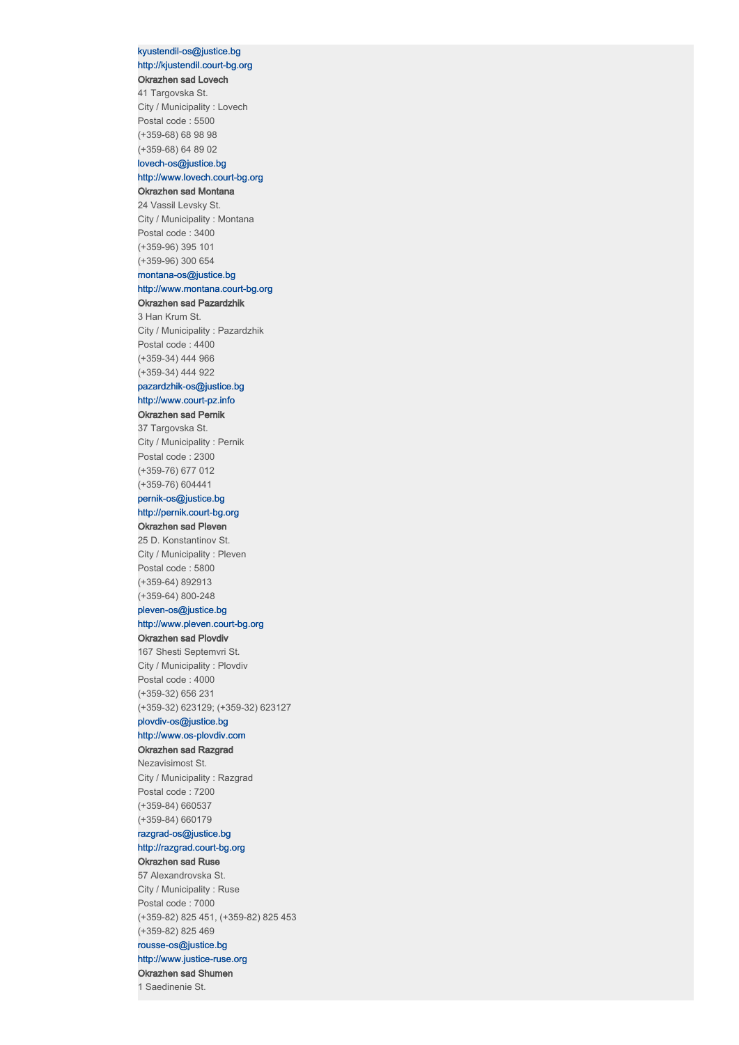## kyustendil-os@justice.bg http://kjustendil.court-bg.org Okrazhen sad Lovech

41 Targovska St. City / Municipality : Lovech Postal code : 5500 (+359-68) 68 98 98 (+359-68) 64 89 02

## lovech-os@justice.bg

### http://www.lovech.court-bg.org Okrazhen sad Montana

24 Vassil Levsky St. City / Municipality : Montana Postal code : 3400 (+359-96) 395 101 (+359-96) 300 654

#### montana-os@justice.bg

## http://www.montana.court-bg.org

## Okrazhen sad Pazardzhik

3 Han Krum St. City / Municipality : Pazardzhik Postal code : 4400 (+359-34) 444 966 (+359-34) 444 922

## pazardzhik-os@justice.bg http://www.court-pz.info

### Okrazhen sad Pernik

37 Targovska St. City / Municipality : Pernik Postal code : 2300 (+359-76) 677 012 (+359-76) 604441

## pernik-os@justice.bg http://pernik.court-bg.org

#### Okrazhen sad Pleven

25 D. Konstantinov St. City / Municipality : Pleven Postal code : 5800 (+359-64) 892913 (+359-64) 800-248

### pleven-os@justice.bg http://www.pleven.court-bg.org

## Okrazhen sad Plovdiv

167 Shesti Septemvri St. City / Municipality : Plovdiv Postal code : 4000 (+359-32) 656 231 (+359-32) 623129; (+359-32) 623127

## plovdiv-os@justice.bg

# http://www.os-plovdiv.com

## Okrazhen sad Razgrad

Nezavisimost St. City / Municipality : Razgrad Postal code : 7200 (+359-84) 660537 (+359-84) 660179

## razgrad-os@justice.bg http://razgrad.court-bg.org

#### Okrazhen sad Ruse

57 Alexandrovska St. City / Municipality : Ruse Postal code : 7000 (+359-82) 825 451, (+359-82) 825 453 (+359-82) 825 469 rousse-os@justice.bg http://www.justice-ruse.org Okrazhen sad Shumen

#### 1 Saedinenie St.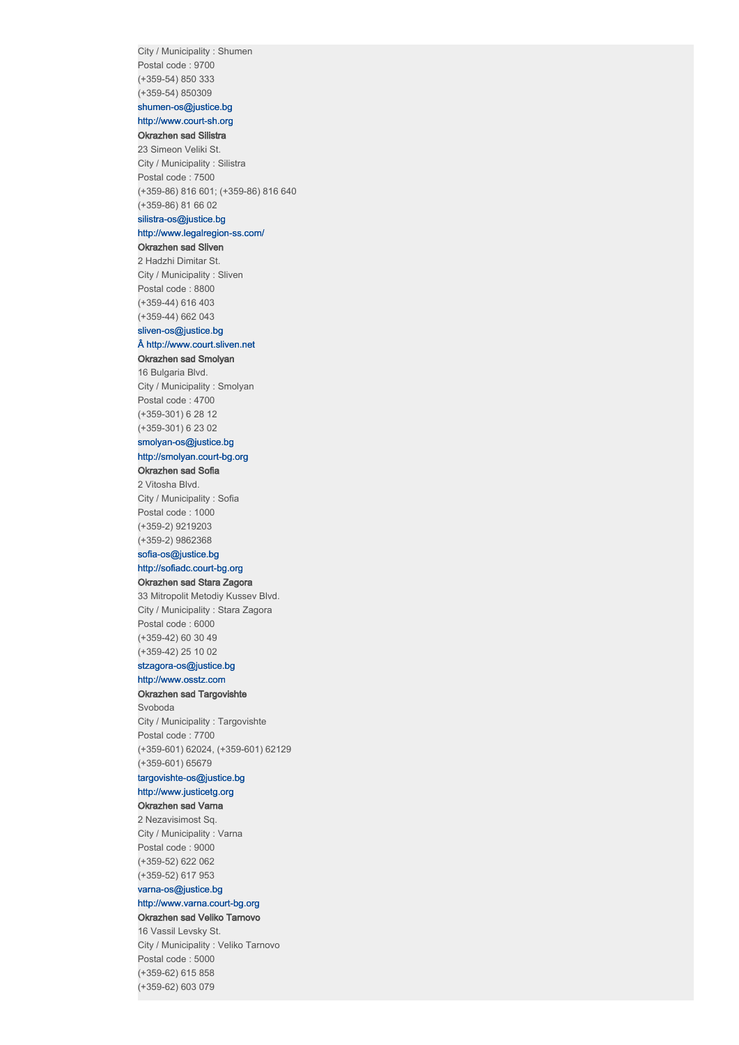City / Municipality : Shumen Postal code : 9700 (+359-54) 850 333 (+359-54) 850309

### shumen-os@justice.bg http://www.court-sh.org

## Okrazhen sad Silistra

23 Simeon Veliki St. City / Municipality : Silistra Postal code : 7500 (+359-86) 816 601; (+359-86) 816 640 (+359-86) 81 66 02 silistra-os@justice.bg

## http://www.legalregion-ss.com/

#### Okrazhen sad Sliven

2 Hadzhi Dimitar St. City / Municipality : Sliven Postal code : 8800 (+359-44) 616 403 (+359-44) 662 043

## sliven-os@justice.bg

## $Å$  http://www.court.sliven.net

## Okrazhen sad Smolyan

16 Bulgaria Blvd. City / Municipality : Smolyan Postal code : 4700 (+359-301) 6 28 12 (+359-301) 6 23 02

## smolyan-os@justice.bg

### http://smolyan.court-bg.org Okrazhen sad Sofia

2 Vitosha Blvd. City / Municipality : Sofia

Postal code : 1000 (+359-2) 9219203 (+359-2) 9862368

#### sofia-os@justice.bg

http://sofiadc.court-bg.org

#### Okrazhen sad Stara Zagora

33 Mitropolit Metodiy Kussev Blvd. City / Municipality : Stara Zagora Postal code : 6000 (+359-42) 60 30 49 (+359-42) 25 10 02

## stzagora-os@justice.bg

## http://www.osstz.com

Okrazhen sad Targovishte

Svoboda City / Municipality : Targovishte Postal code : 7700 (+359-601) 62024, (+359-601) 62129 (+359-601) 65679

## targovishte-os@justice.bg

## http://www.justicetg.org

## Okrazhen sad Varna

2 Nezavisimost Sq. City / Municipality : Varna Postal code : 9000 (+359-52) 622 062 (+359-52) 617 953

## varna-os@justice.bg http://www.varna.court-bg.org

Okrazhen sad Veliko Tarnovo

16 Vassil Levsky St. City / Municipality : Veliko Tarnovo Postal code : 5000 (+359-62) 615 858 (+359-62) 603 079